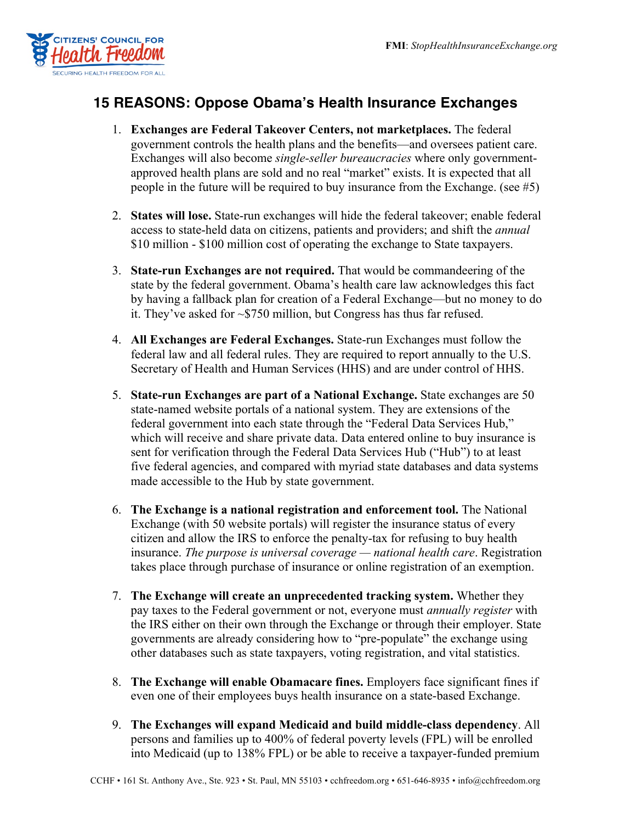

## **15 REASONS: Oppose Obama's Health Insurance Exchanges**

- 1. **Exchanges are Federal Takeover Centers, not marketplaces.** The federal government controls the health plans and the benefits—and oversees patient care. Exchanges will also become *single-seller bureaucracies* where only governmentapproved health plans are sold and no real "market" exists. It is expected that all people in the future will be required to buy insurance from the Exchange. (see #5)
- 2. **States will lose.** State-run exchanges will hide the federal takeover; enable federal access to state-held data on citizens, patients and providers; and shift the *annual*  \$10 million - \$100 million cost of operating the exchange to State taxpayers.
- 3. **State-run Exchanges are not required.** That would be commandeering of the state by the federal government. Obama's health care law acknowledges this fact by having a fallback plan for creation of a Federal Exchange—but no money to do it. They've asked for ~\$750 million, but Congress has thus far refused.
- 4. **All Exchanges are Federal Exchanges.** State-run Exchanges must follow the federal law and all federal rules. They are required to report annually to the U.S. Secretary of Health and Human Services (HHS) and are under control of HHS.
- 5. **State-run Exchanges are part of a National Exchange.** State exchanges are 50 state-named website portals of a national system. They are extensions of the federal government into each state through the "Federal Data Services Hub," which will receive and share private data. Data entered online to buy insurance is sent for verification through the Federal Data Services Hub ("Hub") to at least five federal agencies, and compared with myriad state databases and data systems made accessible to the Hub by state government.
- 6. **The Exchange is a national registration and enforcement tool.** The National Exchange (with 50 website portals) will register the insurance status of every citizen and allow the IRS to enforce the penalty-tax for refusing to buy health insurance. *The purpose is universal coverage — national health care*. Registration takes place through purchase of insurance or online registration of an exemption.
- 7. **The Exchange will create an unprecedented tracking system.** Whether they pay taxes to the Federal government or not, everyone must *annually register* with the IRS either on their own through the Exchange or through their employer. State governments are already considering how to "pre-populate" the exchange using other databases such as state taxpayers, voting registration, and vital statistics.
- 8. **The Exchange will enable Obamacare fines.** Employers face significant fines if even one of their employees buys health insurance on a state-based Exchange.
- 9. **The Exchanges will expand Medicaid and build middle-class dependency**. All persons and families up to 400% of federal poverty levels (FPL) will be enrolled into Medicaid (up to 138% FPL) or be able to receive a taxpayer-funded premium